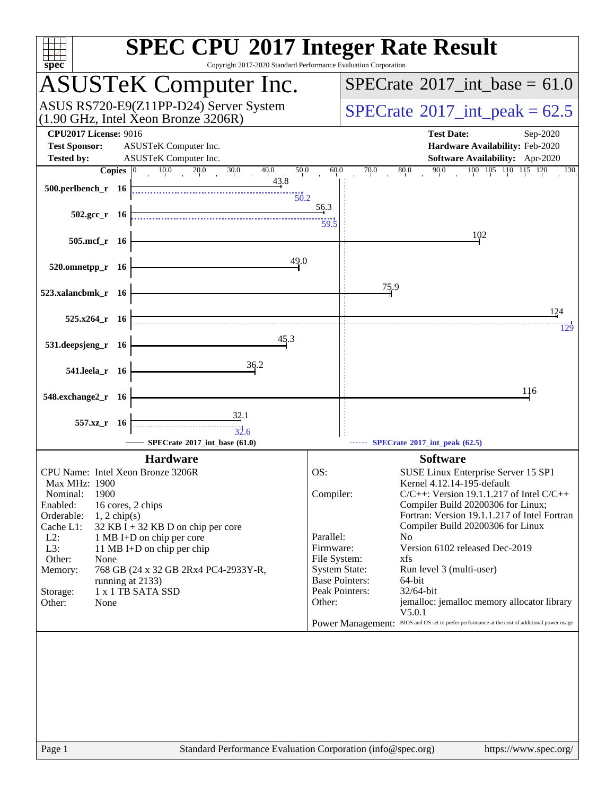| spec <sup>®</sup>                                                                                                           | <b>SPEC CPU®2017 Integer Rate Result</b><br>Copyright 2017-2020 Standard Performance Evaluation Corporation                                                      |
|-----------------------------------------------------------------------------------------------------------------------------|------------------------------------------------------------------------------------------------------------------------------------------------------------------|
| <b>ASUSTeK Computer Inc.</b>                                                                                                | $SPECrate^{\circ}2017\_int\_base = 61.0$                                                                                                                         |
| ASUS RS720-E9(Z11PP-D24) Server System<br>$(1.90 \text{ GHz}, \text{Intel Xeon Bronze } 3206\text{R})$                      | $SPECTate^{\circ}2017$ _int_peak = 62.5                                                                                                                          |
| <b>CPU2017 License: 9016</b><br><b>Test Sponsor:</b><br>ASUSTeK Computer Inc.<br>ASUSTeK Computer Inc.<br><b>Tested by:</b> | <b>Test Date:</b><br>Sep-2020<br>Hardware Availability: Feb-2020<br>Software Availability: Apr-2020                                                              |
| 10.0<br>30.0<br>40.0<br>50.0<br><b>Copies</b><br>20.0                                                                       | 90.0<br>100 105 110 115 120<br>60.0<br>70.0<br>80.0<br>130                                                                                                       |
| 43.8<br>500.perlbench_r 16<br>50.2                                                                                          |                                                                                                                                                                  |
| $502.\text{sec}_r$ 16                                                                                                       | <u>56.3</u><br>59.5                                                                                                                                              |
| 505.mcf_r 16                                                                                                                | 102                                                                                                                                                              |
| 49.0<br>520.omnetpp_r 16                                                                                                    |                                                                                                                                                                  |
| 523.xalancbmk_r 16                                                                                                          | 75.9                                                                                                                                                             |
| $525.x264$ r 16                                                                                                             | 124<br>129                                                                                                                                                       |
| 45.3<br>531.deepsjeng_r 16                                                                                                  |                                                                                                                                                                  |
| 36.2<br>541.leela_r 16                                                                                                      |                                                                                                                                                                  |
| 548.exchange2_r 16                                                                                                          | 116                                                                                                                                                              |
| $\frac{32.1}{5}$<br>557.xz_r 16<br>$\frac{1}{32.6}$<br>SPECrate®2017 int base (61.0)                                        | SPECrate®2017_int_peak (62.5)                                                                                                                                    |
| <b>Hardware</b>                                                                                                             | <b>Software</b>                                                                                                                                                  |
| CPU Name: Intel Xeon Bronze 3206R                                                                                           | OS:                                                                                                                                                              |
| Max MHz: 1900                                                                                                               | SUSE Linux Enterprise Server 15 SP1<br>Kernel 4.12.14-195-default                                                                                                |
| 1900<br>Nominal:                                                                                                            | $C/C++$ : Version 19.1.1.217 of Intel $C/C++$<br>Compiler:                                                                                                       |
| Enabled:<br>16 cores, 2 chips                                                                                               | Compiler Build 20200306 for Linux;                                                                                                                               |
| Orderable:<br>$1, 2$ chip(s)<br>Cache L1:<br>$32$ KB I + 32 KB D on chip per core                                           | Fortran: Version 19.1.1.217 of Intel Fortran<br>Compiler Build 20200306 for Linux                                                                                |
| $L2$ :<br>1 MB I+D on chip per core                                                                                         | Parallel:<br>No                                                                                                                                                  |
| L3:<br>11 MB I+D on chip per chip                                                                                           | Version 6102 released Dec-2019<br>Firmware:                                                                                                                      |
| Other:<br>None<br>768 GB (24 x 32 GB 2Rx4 PC4-2933Y-R,<br>Memory:                                                           | File System:<br>xfs<br><b>System State:</b><br>Run level 3 (multi-user)                                                                                          |
| running at 2133)                                                                                                            | <b>Base Pointers:</b><br>64-bit                                                                                                                                  |
| 1 x 1 TB SATA SSD<br>Storage:                                                                                               | Peak Pointers:<br>32/64-bit                                                                                                                                      |
| Other:<br>None                                                                                                              | jemalloc: jemalloc memory allocator library<br>Other:<br>V5.0.1<br>Power Management: BIOS and OS set to prefer performance at the cost of additional power usage |
|                                                                                                                             |                                                                                                                                                                  |
|                                                                                                                             |                                                                                                                                                                  |
|                                                                                                                             |                                                                                                                                                                  |
|                                                                                                                             |                                                                                                                                                                  |
|                                                                                                                             |                                                                                                                                                                  |
|                                                                                                                             |                                                                                                                                                                  |
|                                                                                                                             |                                                                                                                                                                  |
| Page 1                                                                                                                      | Standard Performance Evaluation Corporation (info@spec.org)<br>https://www.spec.org/                                                                             |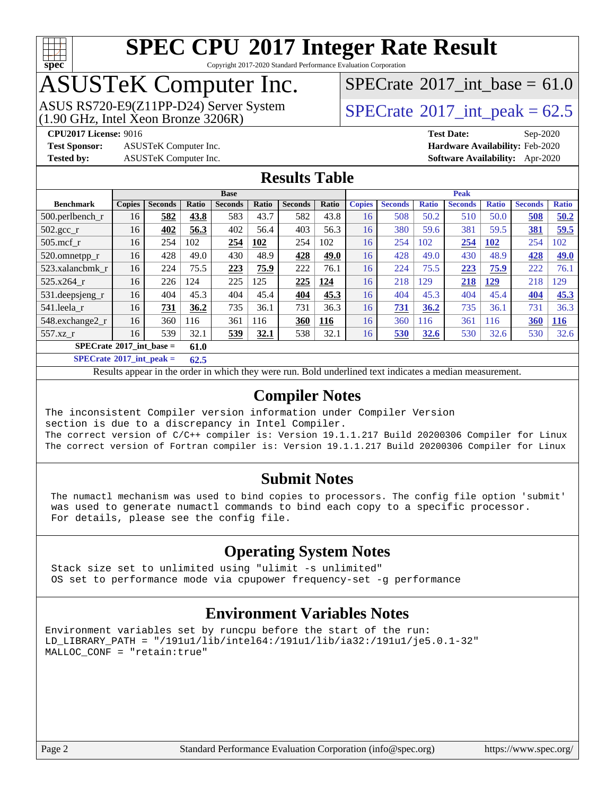

Copyright 2017-2020 Standard Performance Evaluation Corporation

## ASUSTeK Computer Inc.

[SPECrate](http://www.spec.org/auto/cpu2017/Docs/result-fields.html#SPECrate2017intbase)®2017 int\_base =  $61.0$ 

ASUS RS720-E9(Z11PP-D24) Server System  $(1.90 \text{ GHz}, \text{ Intel Xeon Bronze } 3206\text{R})$  [SPECrate](http://www.spec.org/auto/cpu2017/Docs/result-fields.html#SPECrate2017intpeak)®[2017\\_int\\_peak =](http://www.spec.org/auto/cpu2017/Docs/result-fields.html#SPECrate2017intpeak) 62.5

**[Test Sponsor:](http://www.spec.org/auto/cpu2017/Docs/result-fields.html#TestSponsor)** ASUSTeK Computer Inc. **[Hardware Availability:](http://www.spec.org/auto/cpu2017/Docs/result-fields.html#HardwareAvailability)** Feb-2020

**[CPU2017 License:](http://www.spec.org/auto/cpu2017/Docs/result-fields.html#CPU2017License)** 9016 **[Test Date:](http://www.spec.org/auto/cpu2017/Docs/result-fields.html#TestDate)** Sep-2020 **[Tested by:](http://www.spec.org/auto/cpu2017/Docs/result-fields.html#Testedby)** ASUSTeK Computer Inc. **[Software Availability:](http://www.spec.org/auto/cpu2017/Docs/result-fields.html#SoftwareAvailability)** Apr-2020

#### **[Results Table](http://www.spec.org/auto/cpu2017/Docs/result-fields.html#ResultsTable)**

|                                             | <b>Base</b>   |                |       |                |       | <b>Peak</b>    |              |               |                |              |                |              |                |              |
|---------------------------------------------|---------------|----------------|-------|----------------|-------|----------------|--------------|---------------|----------------|--------------|----------------|--------------|----------------|--------------|
| <b>Benchmark</b>                            | <b>Copies</b> | <b>Seconds</b> | Ratio | <b>Seconds</b> | Ratio | <b>Seconds</b> | <b>Ratio</b> | <b>Copies</b> | <b>Seconds</b> | <b>Ratio</b> | <b>Seconds</b> | <b>Ratio</b> | <b>Seconds</b> | <b>Ratio</b> |
| $500.$ perlbench_r                          | 16            | 582            | 43.8  | 583            | 43.7  | 582            | 43.8         | 16            | 508            | 50.2         | 510            | 50.0         | 508            | 50.2         |
| 502.gcc_r                                   | 16            | 402            | 56.3  | 402            | 56.4  | 403            | 56.3         | 16            | 380            | 59.6         | 381            | 59.5         | 381            | 59.5         |
| $505$ .mcf r                                | 16            | 254            | 102   | 254            | 102   | 254            | 102          | 16            | 254            | 102          | 254            | <b>102</b>   | 254            | 102          |
| 520.omnetpp_r                               | 16            | 428            | 49.0  | 430            | 48.9  | 428            | 49.0         | 16            | 428            | 49.0         | 430            | 48.9         | 428            | 49.0         |
| 523.xalancbmk r                             | 16            | 224            | 75.5  | 223            | 75.9  | 222            | 76.1         | 16            | 224            | 75.5         | 223            | 75.9         | 222            | 76.1         |
| 525.x264 r                                  | 16            | 226            | 124   | 225            | 125   | 225            | 124          | 16            | 218            | 129          | 218            | 129          | 218            | 129          |
| 531.deepsjeng_r                             | 16            | 404            | 45.3  | 404            | 45.4  | 404            | 45.3         | 16            | 404            | 45.3         | 404            | 45.4         | 404            | 45.3         |
| 541.leela r                                 | 16            | 731            | 36.2  | 735            | 36.1  | 731            | 36.3         | 16            | <b>731</b>     | 36.2         | 735            | 36.1         | 731            | 36.3         |
| 548.exchange2_r                             | 16            | 360            | 116   | 361            | 116   | 360            | 116          | 16            | 360            | 116          | 361            | 116          | 360            | <b>116</b>   |
| 557.xz r                                    | 16            | 539            | 32.1  | 539            | 32.1  | 538            | 32.1         | 16            | 530            | 32.6         | 530            | 32.6         | 530            | 32.6         |
| $SPECrate^{\otimes}2017$ int base =<br>61.0 |               |                |       |                |       |                |              |               |                |              |                |              |                |              |

**[SPECrate](http://www.spec.org/auto/cpu2017/Docs/result-fields.html#SPECrate2017intpeak)[2017\\_int\\_peak =](http://www.spec.org/auto/cpu2017/Docs/result-fields.html#SPECrate2017intpeak) 62.5**

Results appear in the [order in which they were run.](http://www.spec.org/auto/cpu2017/Docs/result-fields.html#RunOrder) Bold underlined text [indicates a median measurement.](http://www.spec.org/auto/cpu2017/Docs/result-fields.html#Median)

#### **[Compiler Notes](http://www.spec.org/auto/cpu2017/Docs/result-fields.html#CompilerNotes)**

The inconsistent Compiler version information under Compiler Version section is due to a discrepancy in Intel Compiler. The correct version of C/C++ compiler is: Version 19.1.1.217 Build 20200306 Compiler for Linux The correct version of Fortran compiler is: Version 19.1.1.217 Build 20200306 Compiler for Linux

#### **[Submit Notes](http://www.spec.org/auto/cpu2017/Docs/result-fields.html#SubmitNotes)**

 The numactl mechanism was used to bind copies to processors. The config file option 'submit' was used to generate numactl commands to bind each copy to a specific processor. For details, please see the config file.

#### **[Operating System Notes](http://www.spec.org/auto/cpu2017/Docs/result-fields.html#OperatingSystemNotes)**

 Stack size set to unlimited using "ulimit -s unlimited" OS set to performance mode via cpupower frequency-set -g performance

#### **[Environment Variables Notes](http://www.spec.org/auto/cpu2017/Docs/result-fields.html#EnvironmentVariablesNotes)**

Environment variables set by runcpu before the start of the run: LD\_LIBRARY\_PATH = "/191u1/lib/intel64:/191u1/lib/ia32:/191u1/je5.0.1-32" MALLOC\_CONF = "retain:true"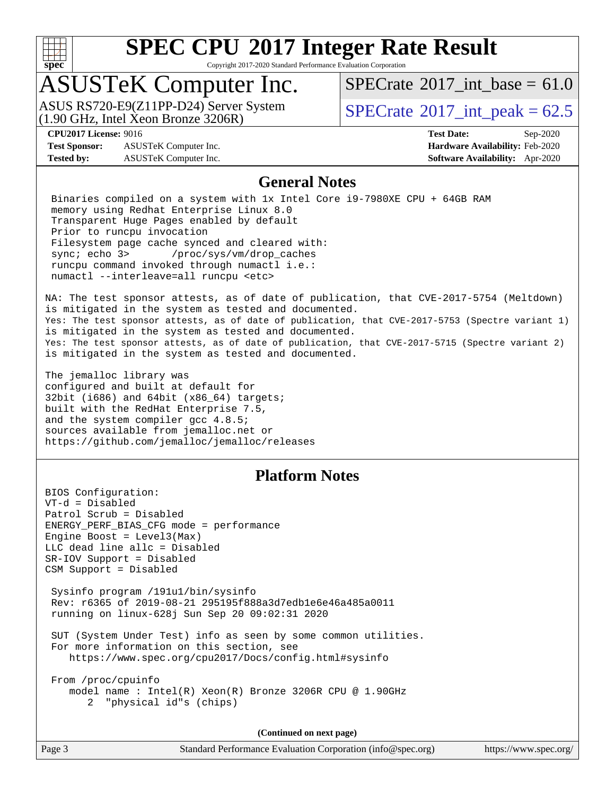

Copyright 2017-2020 Standard Performance Evaluation Corporation

## ASUSTeK Computer Inc.

 $(1.90 \text{ GHz}, \text{Intel } \hat{\text{X}}$ con Bronze 3206R) ASUS RS720-E9(Z11PP-D24) Server System  $SPECrate^{\circ}2017$  $SPECrate^{\circ}2017$  int peak = 62.5

[SPECrate](http://www.spec.org/auto/cpu2017/Docs/result-fields.html#SPECrate2017intbase)®2017 int\_base =  $61.0$ 

**[Test Sponsor:](http://www.spec.org/auto/cpu2017/Docs/result-fields.html#TestSponsor)** ASUSTeK Computer Inc. **[Hardware Availability:](http://www.spec.org/auto/cpu2017/Docs/result-fields.html#HardwareAvailability)** Feb-2020 **[Tested by:](http://www.spec.org/auto/cpu2017/Docs/result-fields.html#Testedby)** ASUSTeK Computer Inc. **[Software Availability:](http://www.spec.org/auto/cpu2017/Docs/result-fields.html#SoftwareAvailability)** Apr-2020

**[CPU2017 License:](http://www.spec.org/auto/cpu2017/Docs/result-fields.html#CPU2017License)** 9016 **[Test Date:](http://www.spec.org/auto/cpu2017/Docs/result-fields.html#TestDate)** Sep-2020

#### **[General Notes](http://www.spec.org/auto/cpu2017/Docs/result-fields.html#GeneralNotes)**

 Binaries compiled on a system with 1x Intel Core i9-7980XE CPU + 64GB RAM memory using Redhat Enterprise Linux 8.0 Transparent Huge Pages enabled by default Prior to runcpu invocation Filesystem page cache synced and cleared with: sync; echo 3> /proc/sys/vm/drop\_caches runcpu command invoked through numactl i.e.: numactl --interleave=all runcpu <etc>

NA: The test sponsor attests, as of date of publication, that CVE-2017-5754 (Meltdown) is mitigated in the system as tested and documented. Yes: The test sponsor attests, as of date of publication, that CVE-2017-5753 (Spectre variant 1) is mitigated in the system as tested and documented. Yes: The test sponsor attests, as of date of publication, that CVE-2017-5715 (Spectre variant 2) is mitigated in the system as tested and documented.

The jemalloc library was configured and built at default for 32bit (i686) and 64bit (x86\_64) targets; built with the RedHat Enterprise 7.5, and the system compiler gcc 4.8.5; sources available from jemalloc.net or <https://github.com/jemalloc/jemalloc/releases>

#### **[Platform Notes](http://www.spec.org/auto/cpu2017/Docs/result-fields.html#PlatformNotes)**

BIOS Configuration: VT-d = Disabled Patrol Scrub = Disabled ENERGY\_PERF\_BIAS\_CFG mode = performance Engine Boost =  $Level3(Max)$ LLC dead line allc = Disabled SR-IOV Support = Disabled CSM Support = Disabled

 Sysinfo program /191u1/bin/sysinfo Rev: r6365 of 2019-08-21 295195f888a3d7edb1e6e46a485a0011 running on linux-628j Sun Sep 20 09:02:31 2020

 SUT (System Under Test) info as seen by some common utilities. For more information on this section, see <https://www.spec.org/cpu2017/Docs/config.html#sysinfo>

 From /proc/cpuinfo model name : Intel(R) Xeon(R) Bronze 3206R CPU @ 1.90GHz 2 "physical id"s (chips)

**(Continued on next page)**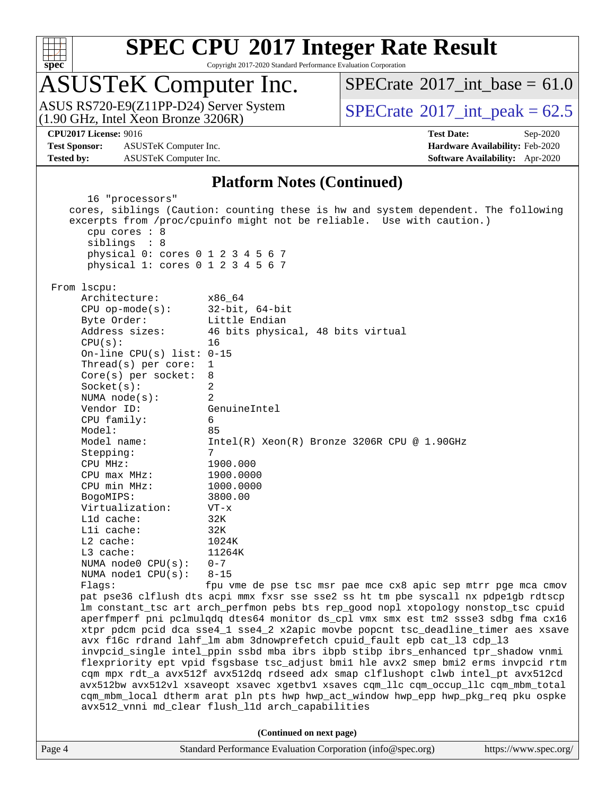

Copyright 2017-2020 Standard Performance Evaluation Corporation

## ASUSTeK Computer Inc.

(1.90 GHz, Intel Xeon Bronze 3206R) ASUS RS720-E9(Z11PP-D24) Server System  $SPECrate^{\circ}2017$  $SPECrate^{\circ}2017$  int peak = 62.5

[SPECrate](http://www.spec.org/auto/cpu2017/Docs/result-fields.html#SPECrate2017intbase)<sup>®</sup>2017 int\_base =  $61.0$ 

**[Test Sponsor:](http://www.spec.org/auto/cpu2017/Docs/result-fields.html#TestSponsor)** ASUSTeK Computer Inc. **[Hardware Availability:](http://www.spec.org/auto/cpu2017/Docs/result-fields.html#HardwareAvailability)** Feb-2020 **[Tested by:](http://www.spec.org/auto/cpu2017/Docs/result-fields.html#Testedby)** ASUSTeK Computer Inc. **[Software Availability:](http://www.spec.org/auto/cpu2017/Docs/result-fields.html#SoftwareAvailability)** Apr-2020

**[CPU2017 License:](http://www.spec.org/auto/cpu2017/Docs/result-fields.html#CPU2017License)** 9016 **[Test Date:](http://www.spec.org/auto/cpu2017/Docs/result-fields.html#TestDate)** Sep-2020

#### **[Platform Notes \(Continued\)](http://www.spec.org/auto/cpu2017/Docs/result-fields.html#PlatformNotes)**

 16 "processors" cores, siblings (Caution: counting these is hw and system dependent. The following excerpts from /proc/cpuinfo might not be reliable. Use with caution.) cpu cores : 8 siblings : 8 physical 0: cores 0 1 2 3 4 5 6 7 physical 1: cores 0 1 2 3 4 5 6 7 From lscpu: Architecture: x86\_64 CPU op-mode(s): 32-bit, 64-bit Byte Order: Little Endian Address sizes: 46 bits physical, 48 bits virtual CPU(s): 16 On-line CPU(s) list: 0-15 Thread(s) per core: 1 Core(s) per socket: 8 Socket(s): 2 NUMA node(s): 2 Vendor ID: GenuineIntel CPU family: 6 Model: 85 Model name: Intel(R) Xeon(R) Bronze 3206R CPU @ 1.90GHz Stepping: 7 CPU MHz: 1900.000 CPU max MHz: 1900.0000 CPU min MHz: 1000.0000 BogoMIPS: 3800.00 Virtualization: VT-x L1d cache: 32K L1i cache: 32K L2 cache: 1024K<br>
L3 cache: 11264K  $L3$  cache: NUMA node0 CPU(s): 0-7 NUMA node1 CPU(s): 8-15 Flags: fpu vme de pse tsc msr pae mce cx8 apic sep mtrr pge mca cmov pat pse36 clflush dts acpi mmx fxsr sse sse2 ss ht tm pbe syscall nx pdpe1gb rdtscp lm constant\_tsc art arch\_perfmon pebs bts rep\_good nopl xtopology nonstop\_tsc cpuid aperfmperf pni pclmulqdq dtes64 monitor ds\_cpl vmx smx est tm2 ssse3 sdbg fma cx16 xtpr pdcm pcid dca sse4\_1 sse4\_2 x2apic movbe popcnt tsc\_deadline\_timer aes xsave avx f16c rdrand lahf\_lm abm 3dnowprefetch cpuid\_fault epb cat\_l3 cdp\_l3 invpcid\_single intel\_ppin ssbd mba ibrs ibpb stibp ibrs\_enhanced tpr\_shadow vnmi flexpriority ept vpid fsgsbase tsc\_adjust bmi1 hle avx2 smep bmi2 erms invpcid rtm cqm mpx rdt\_a avx512f avx512dq rdseed adx smap clflushopt clwb intel\_pt avx512cd avx512bw avx512vl xsaveopt xsavec xgetbv1 xsaves cqm\_llc cqm\_occup\_llc cqm\_mbm\_total cqm\_mbm\_local dtherm arat pln pts hwp hwp\_act\_window hwp\_epp hwp\_pkg\_req pku ospke avx512\_vnni md\_clear flush\_l1d arch\_capabilities **(Continued on next page)**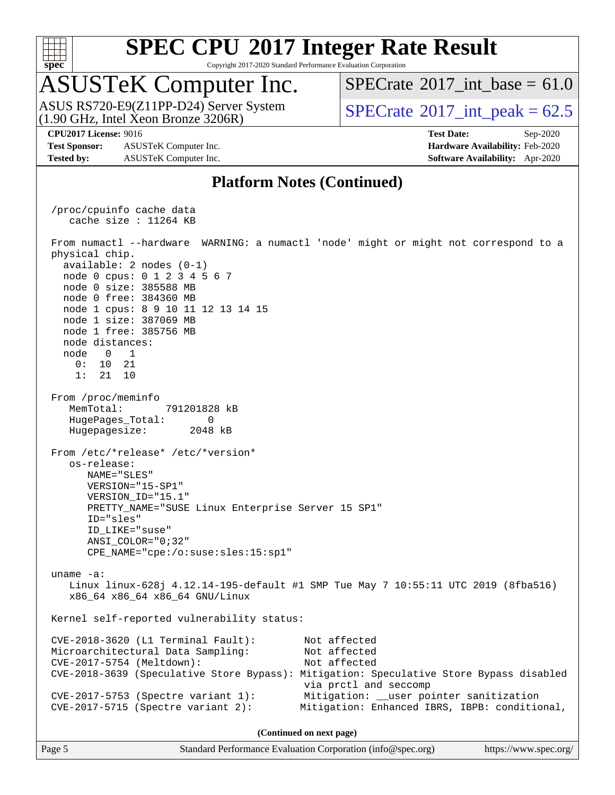

Copyright 2017-2020 Standard Performance Evaluation Corporation

## ASUSTeK Computer Inc.

(1.90 GHz, Intel Xeon Bronze 3206R) ASUS RS720-E9(Z11PP-D24) Server System  $SPECrate^{\circ}2017$  $SPECrate^{\circ}2017$  int peak = 62.5

[SPECrate](http://www.spec.org/auto/cpu2017/Docs/result-fields.html#SPECrate2017intbase)®2017 int\_base =  $61.0$ 

**[Test Sponsor:](http://www.spec.org/auto/cpu2017/Docs/result-fields.html#TestSponsor)** ASUSTeK Computer Inc. **[Hardware Availability:](http://www.spec.org/auto/cpu2017/Docs/result-fields.html#HardwareAvailability)** Feb-2020 **[Tested by:](http://www.spec.org/auto/cpu2017/Docs/result-fields.html#Testedby)** ASUSTeK Computer Inc. **[Software Availability:](http://www.spec.org/auto/cpu2017/Docs/result-fields.html#SoftwareAvailability)** Apr-2020

**[CPU2017 License:](http://www.spec.org/auto/cpu2017/Docs/result-fields.html#CPU2017License)** 9016 **[Test Date:](http://www.spec.org/auto/cpu2017/Docs/result-fields.html#TestDate)** Sep-2020

#### **[Platform Notes \(Continued\)](http://www.spec.org/auto/cpu2017/Docs/result-fields.html#PlatformNotes)**

 /proc/cpuinfo cache data cache size : 11264 KB From numactl --hardware WARNING: a numactl 'node' might or might not correspond to a physical chip. available: 2 nodes (0-1) node 0 cpus: 0 1 2 3 4 5 6 7 node 0 size: 385588 MB node 0 free: 384360 MB node 1 cpus: 8 9 10 11 12 13 14 15 node 1 size: 387069 MB node 1 free: 385756 MB node distances: node 0 1 0: 10 21 1: 21 10 From /proc/meminfo MemTotal: 791201828 kB HugePages\_Total: 0 Hugepagesize: 2048 kB From /etc/\*release\* /etc/\*version\* os-release: NAME="SLES" VERSION="15-SP1" VERSION\_ID="15.1" PRETTY\_NAME="SUSE Linux Enterprise Server 15 SP1" ID="sles" ID\_LIKE="suse" ANSI\_COLOR="0;32" CPE\_NAME="cpe:/o:suse:sles:15:sp1" uname -a: Linux linux-628j 4.12.14-195-default #1 SMP Tue May 7 10:55:11 UTC 2019 (8fba516) x86\_64 x86\_64 x86\_64 GNU/Linux Kernel self-reported vulnerability status: CVE-2018-3620 (L1 Terminal Fault): Not affected Microarchitectural Data Sampling: Not affected CVE-2017-5754 (Meltdown): Not affected CVE-2018-3639 (Speculative Store Bypass): Mitigation: Speculative Store Bypass disabled via prctl and seccomp CVE-2017-5753 (Spectre variant 1): Mitigation: \_\_user pointer sanitization CVE-2017-5715 (Spectre variant 2): Mitigation: Enhanced IBRS, IBPB: conditional, **(Continued on next page)**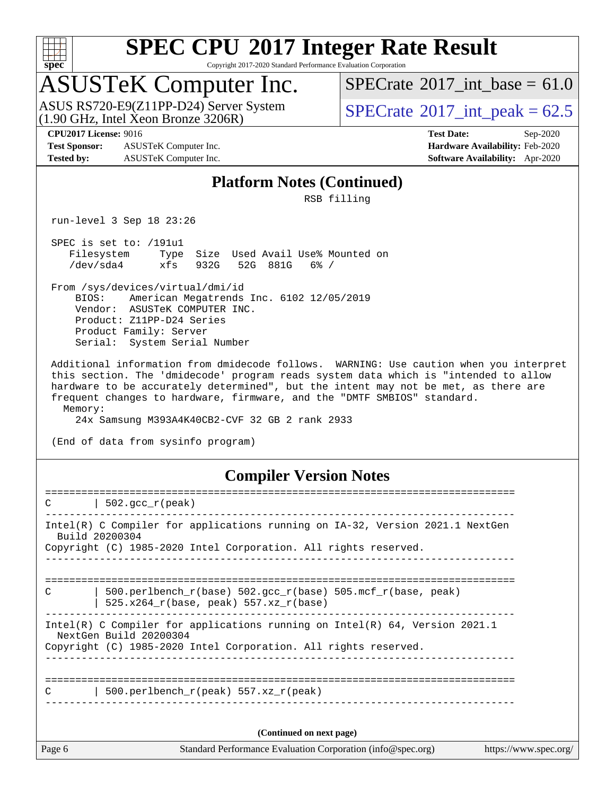

Copyright 2017-2020 Standard Performance Evaluation Corporation

## ASUSTeK Computer Inc.

 $(1.90 \text{ GHz}, \text{Intel } \hat{\text{X}}$ con Bronze 3206R) ASUS RS720-E9(Z11PP-D24) Server System  $SPECrate^{\circ}2017$  $SPECrate^{\circ}2017$  int peak = 62.5

[SPECrate](http://www.spec.org/auto/cpu2017/Docs/result-fields.html#SPECrate2017intbase)<sup>®</sup>2017 int\_base =  $61.0$ 

**[Test Sponsor:](http://www.spec.org/auto/cpu2017/Docs/result-fields.html#TestSponsor)** ASUSTeK Computer Inc. **[Hardware Availability:](http://www.spec.org/auto/cpu2017/Docs/result-fields.html#HardwareAvailability)** Feb-2020 **[Tested by:](http://www.spec.org/auto/cpu2017/Docs/result-fields.html#Testedby)** ASUSTeK Computer Inc. **[Software Availability:](http://www.spec.org/auto/cpu2017/Docs/result-fields.html#SoftwareAvailability)** Apr-2020

**[CPU2017 License:](http://www.spec.org/auto/cpu2017/Docs/result-fields.html#CPU2017License)** 9016 **[Test Date:](http://www.spec.org/auto/cpu2017/Docs/result-fields.html#TestDate)** Sep-2020

#### **[Platform Notes \(Continued\)](http://www.spec.org/auto/cpu2017/Docs/result-fields.html#PlatformNotes)**

RSB filling

run-level 3 Sep 18 23:26

 SPEC is set to: /191u1 Filesystem Type Size Used Avail Use% Mounted on /dev/sda4 xfs 932G 52G 881G 6% /

 From /sys/devices/virtual/dmi/id BIOS: American Megatrends Inc. 6102 12/05/2019 Vendor: ASUSTeK COMPUTER INC. Product: Z11PP-D24 Series Product Family: Server Serial: System Serial Number

 Additional information from dmidecode follows. WARNING: Use caution when you interpret this section. The 'dmidecode' program reads system data which is "intended to allow hardware to be accurately determined", but the intent may not be met, as there are frequent changes to hardware, firmware, and the "DMTF SMBIOS" standard. Memory:

24x Samsung M393A4K40CB2-CVF 32 GB 2 rank 2933

(End of data from sysinfo program)

#### **[Compiler Version Notes](http://www.spec.org/auto/cpu2017/Docs/result-fields.html#CompilerVersionNotes)**

| C      | $502.\text{qcc r (peak)}$                                                                                                                                                   |                       |
|--------|-----------------------------------------------------------------------------------------------------------------------------------------------------------------------------|-----------------------|
|        | Intel(R) C Compiler for applications running on IA-32, Version 2021.1 NextGen<br>Build 20200304<br>Copyright (C) 1985-2020 Intel Corporation. All rights reserved.          |                       |
| C      | 500.perlbench $r(base)$ 502.qcc $r(base)$ 505.mcf $r(base, peak)$<br>$525.x264_r(base, peak) 557.xz_r(base)$                                                                |                       |
|        | Intel(R) C Compiler for applications running on Intel(R) $64$ , Version 2021.1<br>NextGen Build 20200304<br>Copyright (C) 1985-2020 Intel Corporation. All rights reserved. |                       |
| C      | 500.perlbench $r(\text{peak})$ 557.xz $r(\text{peak})$                                                                                                                      |                       |
|        | (Continued on next page)                                                                                                                                                    |                       |
| Page 6 | Standard Performance Evaluation Corporation (info@spec.org)                                                                                                                 | https://www.spec.org/ |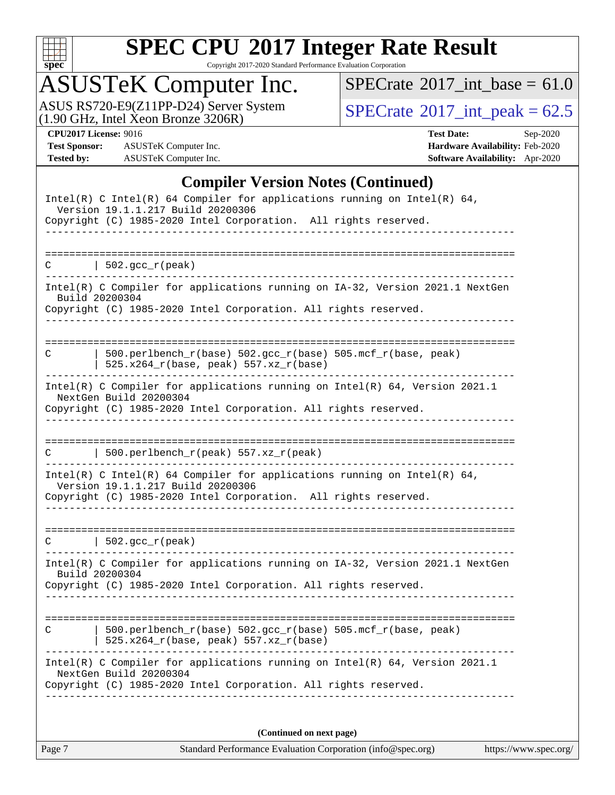

Copyright 2017-2020 Standard Performance Evaluation Corporation

## ASUSTeK Computer Inc.

ASUS RS720-E9(Z11PP-D24) Server System  $(1.90 \text{ GHz}, \text{ Intel Xeon Bronze } 3206\text{R})$  [SPECrate](http://www.spec.org/auto/cpu2017/Docs/result-fields.html#SPECrate2017intpeak)®[2017\\_int\\_peak =](http://www.spec.org/auto/cpu2017/Docs/result-fields.html#SPECrate2017intpeak) 62.5

 $SPECTate$ <sup>®</sup>[2017\\_int\\_base =](http://www.spec.org/auto/cpu2017/Docs/result-fields.html#SPECrate2017intbase) 61.0

**[Test Sponsor:](http://www.spec.org/auto/cpu2017/Docs/result-fields.html#TestSponsor)** ASUSTeK Computer Inc. **[Hardware Availability:](http://www.spec.org/auto/cpu2017/Docs/result-fields.html#HardwareAvailability)** Feb-2020 **[Tested by:](http://www.spec.org/auto/cpu2017/Docs/result-fields.html#Testedby)** ASUSTeK Computer Inc. **[Software Availability:](http://www.spec.org/auto/cpu2017/Docs/result-fields.html#SoftwareAvailability)** Apr-2020

**[CPU2017 License:](http://www.spec.org/auto/cpu2017/Docs/result-fields.html#CPU2017License)** 9016 **[Test Date:](http://www.spec.org/auto/cpu2017/Docs/result-fields.html#TestDate)** Sep-2020

#### **[Compiler Version Notes \(Continued\)](http://www.spec.org/auto/cpu2017/Docs/result-fields.html#CompilerVersionNotes)**

| Intel(R) C Intel(R) 64 Compiler for applications running on Intel(R) 64,<br>Version 19.1.1.217 Build 20200306                                                                    |
|----------------------------------------------------------------------------------------------------------------------------------------------------------------------------------|
| Copyright (C) 1985-2020 Intel Corporation. All rights reserved.                                                                                                                  |
| $  502.\text{gcc_r(peak)}$<br>C.                                                                                                                                                 |
| Intel(R) C Compiler for applications running on IA-32, Version 2021.1 NextGen<br>Build 20200304<br>Copyright (C) 1985-2020 Intel Corporation. All rights reserved.               |
| 500.perlbench_r(base) 502.gcc_r(base) 505.mcf_r(base, peak)<br>С<br>$525.x264_r(base, peak) 557.xz_r(base)$                                                                      |
| Intel(R) C Compiler for applications running on $Intel(R) 64$ , Version 2021.1<br>NextGen Build 20200304<br>Copyright (C) 1985-2020 Intel Corporation. All rights reserved.      |
| $500.perlbench_r(peak) 557. xz_r(peak)$<br>C                                                                                                                                     |
| Intel(R) C Intel(R) 64 Compiler for applications running on Intel(R) 64,<br>Version 19.1.1.217 Build 20200306<br>Copyright (C) 1985-2020 Intel Corporation. All rights reserved. |
| $\vert$ 502.gcc_r(peak)<br>C.                                                                                                                                                    |
| Intel(R) C Compiler for applications running on IA-32, Version 2021.1 NextGen<br>Build 20200304<br>Copyright (C) 1985-2020 Intel Corporation. All rights reserved.               |
| ==================<br>============<br>500.perlbench_r(base) 502.gcc_r(base) 505.mcf_r(base, peak)<br>С<br>  525.x264_r(base, peak) 557.xz_r(base)                                |
| Intel(R) C Compiler for applications running on Intel(R) 64, Version 2021.1<br>NextGen Build 20200304<br>Copyright (C) 1985-2020 Intel Corporation. All rights reserved.         |
| (Continued on next page)                                                                                                                                                         |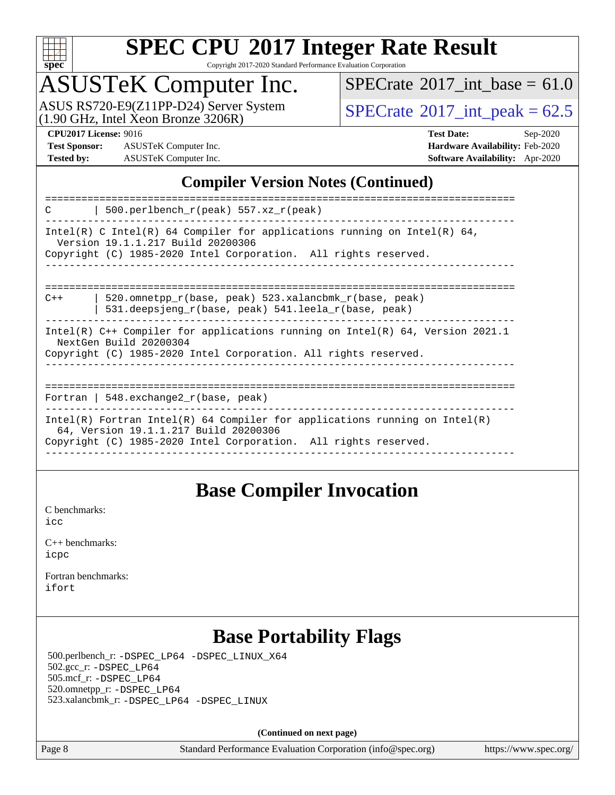

Copyright 2017-2020 Standard Performance Evaluation Corporation

## ASUSTeK Computer Inc.

(1.90 GHz, Intel Xeon Bronze 3206R) ASUS RS720-E9(Z11PP-D24) Server System  $\sqrt{\text{SPECrate}^{\otimes}2017\_int\_peak} = 62.5$  $\sqrt{\text{SPECrate}^{\otimes}2017\_int\_peak} = 62.5$  $\sqrt{\text{SPECrate}^{\otimes}2017\_int\_peak} = 62.5$ 

[SPECrate](http://www.spec.org/auto/cpu2017/Docs/result-fields.html#SPECrate2017intbase)<sup>®</sup>2017 int\_base =  $61.0$ 

**[Test Sponsor:](http://www.spec.org/auto/cpu2017/Docs/result-fields.html#TestSponsor)** ASUSTeK Computer Inc. **[Hardware Availability:](http://www.spec.org/auto/cpu2017/Docs/result-fields.html#HardwareAvailability)** Feb-2020 **[Tested by:](http://www.spec.org/auto/cpu2017/Docs/result-fields.html#Testedby)** ASUSTeK Computer Inc. **[Software Availability:](http://www.spec.org/auto/cpu2017/Docs/result-fields.html#SoftwareAvailability)** Apr-2020

**[CPU2017 License:](http://www.spec.org/auto/cpu2017/Docs/result-fields.html#CPU2017License)** 9016 **[Test Date:](http://www.spec.org/auto/cpu2017/Docs/result-fields.html#TestDate)** Sep-2020

#### **[Compiler Version Notes \(Continued\)](http://www.spec.org/auto/cpu2017/Docs/result-fields.html#CompilerVersionNotes)**

| 500.perlbench $r(\text{peak})$ 557.xz $r(\text{peak})$<br>C                                                                                                                            |  |  |  |  |  |
|----------------------------------------------------------------------------------------------------------------------------------------------------------------------------------------|--|--|--|--|--|
| Intel(R) C Intel(R) 64 Compiler for applications running on Intel(R) 64,<br>Version 19.1.1.217 Build 20200306<br>Copyright (C) 1985-2020 Intel Corporation. All rights reserved.       |  |  |  |  |  |
| 520.omnetpp r(base, peak) 523.xalancbmk r(base, peak)<br>$C++$<br>531.deepsjeng $r(base, peak)$ 541.leela $r(base, peak)$                                                              |  |  |  |  |  |
| Intel(R) $C++$ Compiler for applications running on Intel(R) 64, Version 2021.1<br>NextGen Build 20200304<br>Copyright (C) 1985-2020 Intel Corporation. All rights reserved.           |  |  |  |  |  |
| Fortran   $548$ . exchange $2\degree$ r (base, peak)                                                                                                                                   |  |  |  |  |  |
| Intel(R) Fortran Intel(R) 64 Compiler for applications running on Intel(R)<br>64, Version 19.1.1.217 Build 20200306<br>Copyright (C) 1985-2020 Intel Corporation. All rights reserved. |  |  |  |  |  |

### **[Base Compiler Invocation](http://www.spec.org/auto/cpu2017/Docs/result-fields.html#BaseCompilerInvocation)**

[C benchmarks](http://www.spec.org/auto/cpu2017/Docs/result-fields.html#Cbenchmarks): [icc](http://www.spec.org/cpu2017/results/res2020q4/cpu2017-20200925-24017.flags.html#user_CCbase_intel_icc_66fc1ee009f7361af1fbd72ca7dcefbb700085f36577c54f309893dd4ec40d12360134090235512931783d35fd58c0460139e722d5067c5574d8eaf2b3e37e92)

| $C_{++}$ benchmarks: |  |
|----------------------|--|
| icpc                 |  |

[Fortran benchmarks](http://www.spec.org/auto/cpu2017/Docs/result-fields.html#Fortranbenchmarks): [ifort](http://www.spec.org/cpu2017/results/res2020q4/cpu2017-20200925-24017.flags.html#user_FCbase_intel_ifort_8111460550e3ca792625aed983ce982f94888b8b503583aa7ba2b8303487b4d8a21a13e7191a45c5fd58ff318f48f9492884d4413fa793fd88dd292cad7027ca)

## **[Base Portability Flags](http://www.spec.org/auto/cpu2017/Docs/result-fields.html#BasePortabilityFlags)**

 500.perlbench\_r: [-DSPEC\\_LP64](http://www.spec.org/cpu2017/results/res2020q4/cpu2017-20200925-24017.flags.html#b500.perlbench_r_basePORTABILITY_DSPEC_LP64) [-DSPEC\\_LINUX\\_X64](http://www.spec.org/cpu2017/results/res2020q4/cpu2017-20200925-24017.flags.html#b500.perlbench_r_baseCPORTABILITY_DSPEC_LINUX_X64) 502.gcc\_r: [-DSPEC\\_LP64](http://www.spec.org/cpu2017/results/res2020q4/cpu2017-20200925-24017.flags.html#suite_basePORTABILITY502_gcc_r_DSPEC_LP64) 505.mcf\_r: [-DSPEC\\_LP64](http://www.spec.org/cpu2017/results/res2020q4/cpu2017-20200925-24017.flags.html#suite_basePORTABILITY505_mcf_r_DSPEC_LP64) 520.omnetpp\_r: [-DSPEC\\_LP64](http://www.spec.org/cpu2017/results/res2020q4/cpu2017-20200925-24017.flags.html#suite_basePORTABILITY520_omnetpp_r_DSPEC_LP64) 523.xalancbmk\_r: [-DSPEC\\_LP64](http://www.spec.org/cpu2017/results/res2020q4/cpu2017-20200925-24017.flags.html#suite_basePORTABILITY523_xalancbmk_r_DSPEC_LP64) [-DSPEC\\_LINUX](http://www.spec.org/cpu2017/results/res2020q4/cpu2017-20200925-24017.flags.html#b523.xalancbmk_r_baseCXXPORTABILITY_DSPEC_LINUX)

**(Continued on next page)**

Page 8 Standard Performance Evaluation Corporation [\(info@spec.org\)](mailto:info@spec.org) <https://www.spec.org/>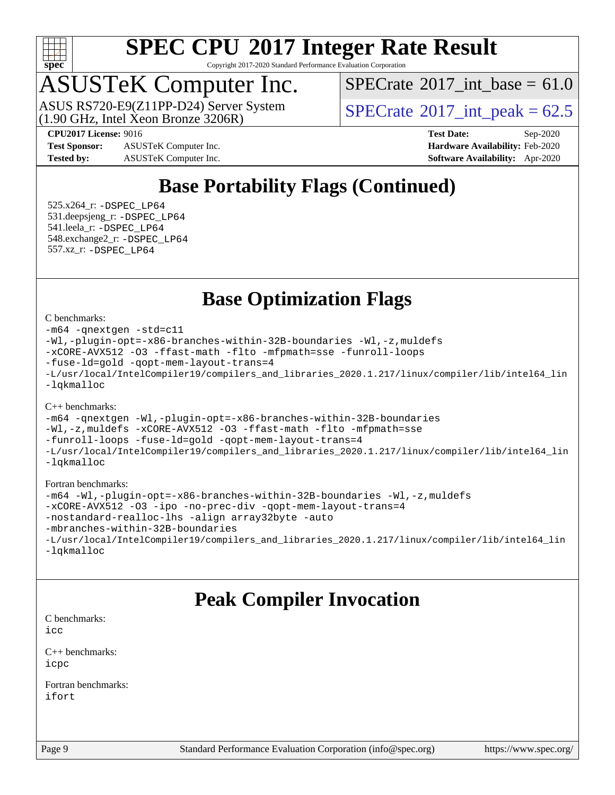

Copyright 2017-2020 Standard Performance Evaluation Corporation

## ASUSTeK Computer Inc.

 $(1.90 \text{ GHz}, \text{Intel } \hat{\text{X}}$ con Bronze 3206R) ASUS RS720-E9(Z11PP-D24) Server System  $SPECrate^{\circ}2017$  $SPECrate^{\circ}2017$  int peak = 62.5

[SPECrate](http://www.spec.org/auto/cpu2017/Docs/result-fields.html#SPECrate2017intbase)<sup>®</sup>2017 int\_base =  $61.0$ 

**[Test Sponsor:](http://www.spec.org/auto/cpu2017/Docs/result-fields.html#TestSponsor)** ASUSTeK Computer Inc. **[Hardware Availability:](http://www.spec.org/auto/cpu2017/Docs/result-fields.html#HardwareAvailability)** Feb-2020 **[Tested by:](http://www.spec.org/auto/cpu2017/Docs/result-fields.html#Testedby)** ASUSTeK Computer Inc. **[Software Availability:](http://www.spec.org/auto/cpu2017/Docs/result-fields.html#SoftwareAvailability)** Apr-2020

**[CPU2017 License:](http://www.spec.org/auto/cpu2017/Docs/result-fields.html#CPU2017License)** 9016 **[Test Date:](http://www.spec.org/auto/cpu2017/Docs/result-fields.html#TestDate)** Sep-2020

## **[Base Portability Flags \(Continued\)](http://www.spec.org/auto/cpu2017/Docs/result-fields.html#BasePortabilityFlags)**

 525.x264\_r: [-DSPEC\\_LP64](http://www.spec.org/cpu2017/results/res2020q4/cpu2017-20200925-24017.flags.html#suite_basePORTABILITY525_x264_r_DSPEC_LP64) 531.deepsjeng\_r: [-DSPEC\\_LP64](http://www.spec.org/cpu2017/results/res2020q4/cpu2017-20200925-24017.flags.html#suite_basePORTABILITY531_deepsjeng_r_DSPEC_LP64) 541.leela\_r: [-DSPEC\\_LP64](http://www.spec.org/cpu2017/results/res2020q4/cpu2017-20200925-24017.flags.html#suite_basePORTABILITY541_leela_r_DSPEC_LP64) 548.exchange2\_r: [-DSPEC\\_LP64](http://www.spec.org/cpu2017/results/res2020q4/cpu2017-20200925-24017.flags.html#suite_basePORTABILITY548_exchange2_r_DSPEC_LP64) 557.xz\_r: [-DSPEC\\_LP64](http://www.spec.org/cpu2017/results/res2020q4/cpu2017-20200925-24017.flags.html#suite_basePORTABILITY557_xz_r_DSPEC_LP64)

### **[Base Optimization Flags](http://www.spec.org/auto/cpu2017/Docs/result-fields.html#BaseOptimizationFlags)**

#### [C benchmarks](http://www.spec.org/auto/cpu2017/Docs/result-fields.html#Cbenchmarks):

```
-m64 -qnextgen -std=c11
-Wl,-plugin-opt=-x86-branches-within-32B-boundaries -Wl,-z,muldefs
-xCORE-AVX512 -O3 -ffast-math -flto -mfpmath=sse -funroll-loops
-fuse-ld=gold -qopt-mem-layout-trans=4
-L/usr/local/IntelCompiler19/compilers_and_libraries_2020.1.217/linux/compiler/lib/intel64_lin
-lqkmalloc
```
#### [C++ benchmarks](http://www.spec.org/auto/cpu2017/Docs/result-fields.html#CXXbenchmarks):

```
-m64 -qnextgen -Wl,-plugin-opt=-x86-branches-within-32B-boundaries
-Wl,-z,muldefs -xCORE-AVX512 -O3 -ffast-math -flto -mfpmath=sse
-funroll-loops -fuse-ld=gold -qopt-mem-layout-trans=4
-L/usr/local/IntelCompiler19/compilers_and_libraries_2020.1.217/linux/compiler/lib/intel64_lin
-lqkmalloc
```
#### [Fortran benchmarks:](http://www.spec.org/auto/cpu2017/Docs/result-fields.html#Fortranbenchmarks)

```
-m64 -Wl,-plugin-opt=-x86-branches-within-32B-boundaries -Wl,-z,muldefs
-xCORE-AVX512 -O3 -ipo -no-prec-div -qopt-mem-layout-trans=4
-nostandard-realloc-lhs -align array32byte -auto
-mbranches-within-32B-boundaries
-L/usr/local/IntelCompiler19/compilers_and_libraries_2020.1.217/linux/compiler/lib/intel64_lin
-lqkmalloc
```
### **[Peak Compiler Invocation](http://www.spec.org/auto/cpu2017/Docs/result-fields.html#PeakCompilerInvocation)**

[C benchmarks](http://www.spec.org/auto/cpu2017/Docs/result-fields.html#Cbenchmarks): [icc](http://www.spec.org/cpu2017/results/res2020q4/cpu2017-20200925-24017.flags.html#user_CCpeak_intel_icc_66fc1ee009f7361af1fbd72ca7dcefbb700085f36577c54f309893dd4ec40d12360134090235512931783d35fd58c0460139e722d5067c5574d8eaf2b3e37e92)

[C++ benchmarks:](http://www.spec.org/auto/cpu2017/Docs/result-fields.html#CXXbenchmarks) [icpc](http://www.spec.org/cpu2017/results/res2020q4/cpu2017-20200925-24017.flags.html#user_CXXpeak_intel_icpc_c510b6838c7f56d33e37e94d029a35b4a7bccf4766a728ee175e80a419847e808290a9b78be685c44ab727ea267ec2f070ec5dc83b407c0218cded6866a35d07)

[Fortran benchmarks](http://www.spec.org/auto/cpu2017/Docs/result-fields.html#Fortranbenchmarks): [ifort](http://www.spec.org/cpu2017/results/res2020q4/cpu2017-20200925-24017.flags.html#user_FCpeak_intel_ifort_8111460550e3ca792625aed983ce982f94888b8b503583aa7ba2b8303487b4d8a21a13e7191a45c5fd58ff318f48f9492884d4413fa793fd88dd292cad7027ca)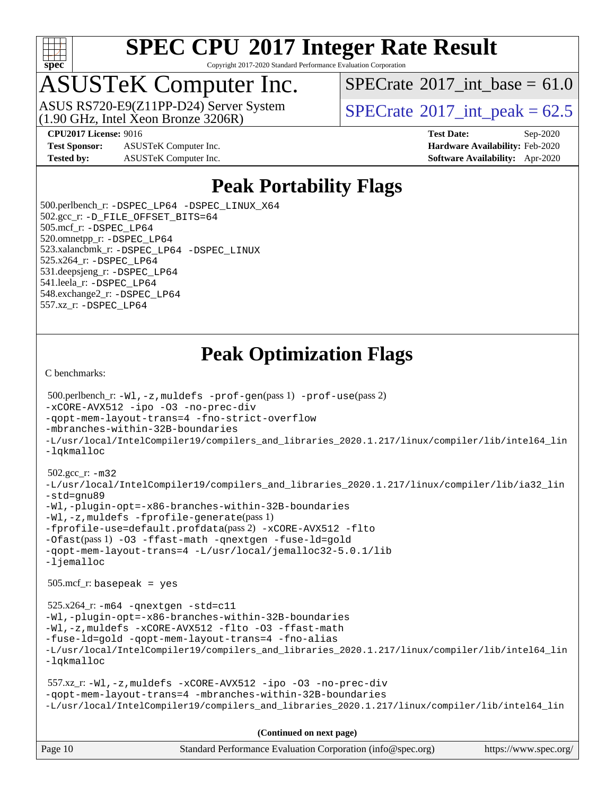

Copyright 2017-2020 Standard Performance Evaluation Corporation

# ASUSTeK Computer Inc.<br>ASUS RS720-E9(Z11PP-D24) Server System

(1.90 GHz, Intel Xeon Bronze 3206R)

[SPECrate](http://www.spec.org/auto/cpu2017/Docs/result-fields.html#SPECrate2017intbase)<sup>®</sup>2017 int\_base =  $61.0$ 

[SPECrate](http://www.spec.org/auto/cpu2017/Docs/result-fields.html#SPECrate2017intpeak)<sup>®</sup>2017 int peak =  $62.5$ 

**[Test Sponsor:](http://www.spec.org/auto/cpu2017/Docs/result-fields.html#TestSponsor)** ASUSTeK Computer Inc. **[Hardware Availability:](http://www.spec.org/auto/cpu2017/Docs/result-fields.html#HardwareAvailability)** Feb-2020 **[Tested by:](http://www.spec.org/auto/cpu2017/Docs/result-fields.html#Testedby)** ASUSTeK Computer Inc. **[Software Availability:](http://www.spec.org/auto/cpu2017/Docs/result-fields.html#SoftwareAvailability)** Apr-2020

**[CPU2017 License:](http://www.spec.org/auto/cpu2017/Docs/result-fields.html#CPU2017License)** 9016 **[Test Date:](http://www.spec.org/auto/cpu2017/Docs/result-fields.html#TestDate)** Sep-2020

### **[Peak Portability Flags](http://www.spec.org/auto/cpu2017/Docs/result-fields.html#PeakPortabilityFlags)**

 500.perlbench\_r: [-DSPEC\\_LP64](http://www.spec.org/cpu2017/results/res2020q4/cpu2017-20200925-24017.flags.html#b500.perlbench_r_peakPORTABILITY_DSPEC_LP64) [-DSPEC\\_LINUX\\_X64](http://www.spec.org/cpu2017/results/res2020q4/cpu2017-20200925-24017.flags.html#b500.perlbench_r_peakCPORTABILITY_DSPEC_LINUX_X64) 502.gcc\_r: [-D\\_FILE\\_OFFSET\\_BITS=64](http://www.spec.org/cpu2017/results/res2020q4/cpu2017-20200925-24017.flags.html#user_peakPORTABILITY502_gcc_r_file_offset_bits_64_5ae949a99b284ddf4e95728d47cb0843d81b2eb0e18bdfe74bbf0f61d0b064f4bda2f10ea5eb90e1dcab0e84dbc592acfc5018bc955c18609f94ddb8d550002c) 505.mcf\_r: [-DSPEC\\_LP64](http://www.spec.org/cpu2017/results/res2020q4/cpu2017-20200925-24017.flags.html#suite_peakPORTABILITY505_mcf_r_DSPEC_LP64) 520.omnetpp\_r: [-DSPEC\\_LP64](http://www.spec.org/cpu2017/results/res2020q4/cpu2017-20200925-24017.flags.html#suite_peakPORTABILITY520_omnetpp_r_DSPEC_LP64) 523.xalancbmk\_r: [-DSPEC\\_LP64](http://www.spec.org/cpu2017/results/res2020q4/cpu2017-20200925-24017.flags.html#suite_peakPORTABILITY523_xalancbmk_r_DSPEC_LP64) [-DSPEC\\_LINUX](http://www.spec.org/cpu2017/results/res2020q4/cpu2017-20200925-24017.flags.html#b523.xalancbmk_r_peakCXXPORTABILITY_DSPEC_LINUX) 525.x264\_r: [-DSPEC\\_LP64](http://www.spec.org/cpu2017/results/res2020q4/cpu2017-20200925-24017.flags.html#suite_peakPORTABILITY525_x264_r_DSPEC_LP64) 531.deepsjeng\_r: [-DSPEC\\_LP64](http://www.spec.org/cpu2017/results/res2020q4/cpu2017-20200925-24017.flags.html#suite_peakPORTABILITY531_deepsjeng_r_DSPEC_LP64) 541.leela\_r: [-DSPEC\\_LP64](http://www.spec.org/cpu2017/results/res2020q4/cpu2017-20200925-24017.flags.html#suite_peakPORTABILITY541_leela_r_DSPEC_LP64) 548.exchange2\_r: [-DSPEC\\_LP64](http://www.spec.org/cpu2017/results/res2020q4/cpu2017-20200925-24017.flags.html#suite_peakPORTABILITY548_exchange2_r_DSPEC_LP64) 557.xz\_r: [-DSPEC\\_LP64](http://www.spec.org/cpu2017/results/res2020q4/cpu2017-20200925-24017.flags.html#suite_peakPORTABILITY557_xz_r_DSPEC_LP64)

## **[Peak Optimization Flags](http://www.spec.org/auto/cpu2017/Docs/result-fields.html#PeakOptimizationFlags)**

[C benchmarks](http://www.spec.org/auto/cpu2017/Docs/result-fields.html#Cbenchmarks):

```
Page 10 Standard Performance Evaluation Corporation (info@spec.org) https://www.spec.org/
  500.perlbench_r: -Wl,-z,muldefs -prof-gen(pass 1) -prof-use(pass 2)
-xCORE-AVX512 -ipo -O3 -no-prec-div
-qopt-mem-layout-trans=4 -fno-strict-overflow
-mbranches-within-32B-boundaries
-L/usr/local/IntelCompiler19/compilers_and_libraries_2020.1.217/linux/compiler/lib/intel64_lin
-lqkmalloc
  502.gcc_r: -m32
-L/usr/local/IntelCompiler19/compilers_and_libraries_2020.1.217/linux/compiler/lib/ia32_lin
-std=gnu89
-Wl,-plugin-opt=-x86-branches-within-32B-boundaries
-Wl,-z,muldefs -fprofile-generate(pass 1)
-fprofile-use=default.profdata(pass 2) -xCORE-AVX512 -flto
-Ofast(pass 1) -O3 -ffast-math -qnextgen -fuse-ld=gold
-qopt-mem-layout-trans=4 -L/usr/local/jemalloc32-5.0.1/lib
-ljemalloc
  505.mcf_r: basepeak = yes
  525.x264_r: -m64 -qnextgen -std=c11
-Wl,-plugin-opt=-x86-branches-within-32B-boundaries
-Wl,-z,muldefs -xCORE-AVX512 -flto -O3 -ffast-math
-fuse-ld=gold -qopt-mem-layout-trans=4 -fno-alias
-L/usr/local/IntelCompiler19/compilers_and_libraries_2020.1.217/linux/compiler/lib/intel64_lin
-lqkmalloc
  557.xz_r: -Wl,-z,muldefs -xCORE-AVX512 -ipo -O3 -no-prec-div
-qopt-mem-layout-trans=4 -mbranches-within-32B-boundaries
-L/usr/local/IntelCompiler19/compilers_and_libraries_2020.1.217/linux/compiler/lib/intel64_lin
                                      (Continued on next page)
```